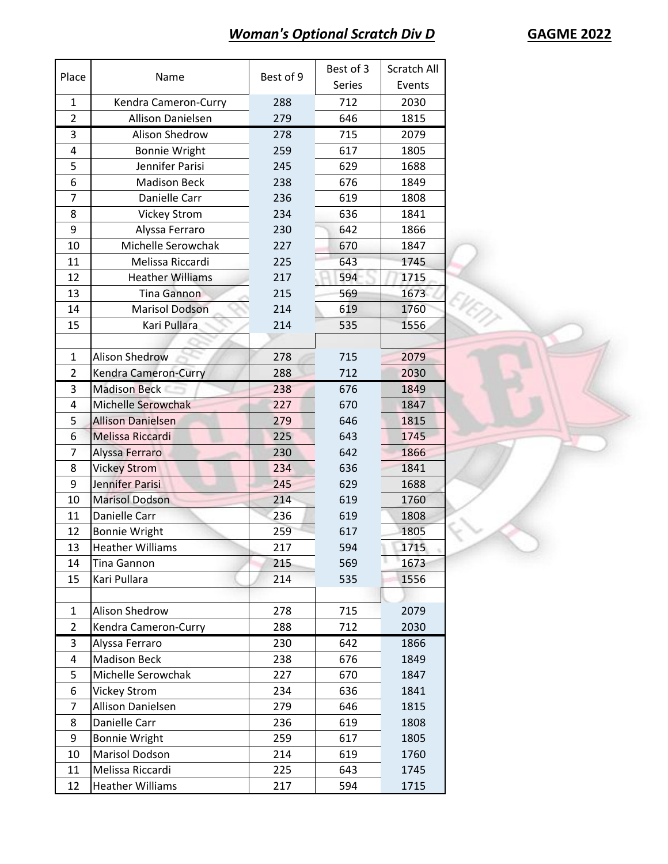## *Woman's Optional Scratch Div D* **GAGME 2022**

λ

| Place          | Name                     | Best of 9 | Best of 3     | Scratch All |
|----------------|--------------------------|-----------|---------------|-------------|
|                |                          |           | <b>Series</b> | Events      |
| $\mathbf{1}$   | Kendra Cameron-Curry     | 288       | 712           | 2030        |
| $\overline{2}$ | <b>Allison Danielsen</b> | 279       | 646           | 1815        |
| 3              | Alison Shedrow           | 278       | 715           | 2079        |
| 4              | <b>Bonnie Wright</b>     | 259       | 617           | 1805        |
| 5              | Jennifer Parisi          | 245       | 629           | 1688        |
| 6              | <b>Madison Beck</b>      | 238       | 676           | 1849        |
| 7              | Danielle Carr            | 236       | 619           | 1808        |
| 8              | <b>Vickey Strom</b>      | 234       | 636           | 1841        |
| 9              | Alyssa Ferraro           | 230       | 642           | 1866        |
| 10             | Michelle Serowchak       | 227       | 670           | 1847        |
| 11             | Melissa Riccardi         | 225       | 643           | 1745        |
| 12             | <b>Heather Williams</b>  | 217       | 594           | 1715        |
| 13             | <b>Tina Gannon</b>       | 215       | 569           | 1673        |
| 14             | <b>Marisol Dodson</b>    | 214       | 619           | 1760        |
| 15             | Kari Pullara             | 214       | 535           | 1556        |
|                |                          |           |               |             |
| $\mathbf{1}$   | <b>Alison Shedrow</b>    | 278       | 715           | 2079        |
| $\overline{2}$ | Kendra Cameron-Curry     | 288       | 712           | 2030        |
| 3              | <b>Madison Beck</b>      | 238       | 676           | 1849        |
| 4              | Michelle Serowchak       | 227       | 670           | 1847        |
| 5              | <b>Allison Danielsen</b> | 279       | 646           | 1815        |
| 6              | Melissa Riccardi         | 225       | 643           | 1745        |
| 7              | Alyssa Ferraro           | 230       | 642           | 1866        |
| 8              | <b>Vickey Strom</b>      | 234       | 636           | 1841        |
| 9              | Jennifer Parisi          | 245       | 629           | 1688        |
| 10             | <b>Marisol Dodson</b>    | 214       | 619           | 1760        |
| 11             | Danielle Carr            | 236       | 619           | 1808        |
| 12             | <b>Bonnie Wright</b>     | 259       | 617           | 1805        |
| 13             | <b>Heather Williams</b>  | 217       | 594           | 1715        |
| 14             | Tina Gannon              | 215       | 569           | 1673        |
| 15             | Kari Pullara             | 214       | 535           | 1556        |
|                |                          |           |               |             |
| $\mathbf{1}$   | Alison Shedrow           | 278       | 715           | 2079        |
| $\overline{2}$ | Kendra Cameron-Curry     | 288       | 712           | 2030        |
| 3              | Alyssa Ferraro           | 230       | 642           | 1866        |
| 4              | <b>Madison Beck</b>      | 238       | 676           | 1849        |
| 5              | Michelle Serowchak       | 227       | 670           | 1847        |
| 6              | <b>Vickey Strom</b>      | 234       | 636           | 1841        |
| 7              | Allison Danielsen        | 279       | 646           | 1815        |
| 8              | Danielle Carr            | 236       | 619           | 1808        |
| 9              | <b>Bonnie Wright</b>     | 259       | 617           | 1805        |
| 10             | Marisol Dodson           | 214       | 619           | 1760        |
| 11             | Melissa Riccardi         | 225       | 643           | 1745        |
| 12             | <b>Heather Williams</b>  | 217       | 594           | 1715        |